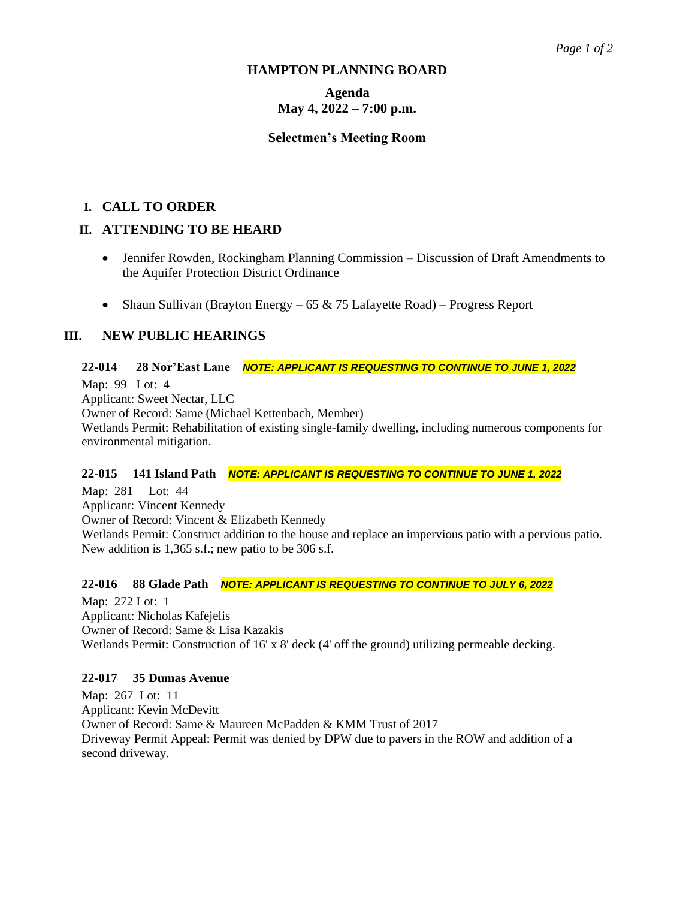#### **HAMPTON PLANNING BOARD**

# **Agenda May 4, 2022 – 7:00 p.m.**

### **Selectmen's Meeting Room**

## **I. CALL TO ORDER**

## **II. ATTENDING TO BE HEARD**

- Jennifer Rowden, Rockingham Planning Commission Discussion of Draft Amendments to the Aquifer Protection District Ordinance
- Shaun Sullivan (Brayton Energy  $-65 \& 75$  Lafayette Road) Progress Report

## **III. NEW PUBLIC HEARINGS**

### **22-014 28 Nor'East Lane** *NOTE: APPLICANT IS REQUESTING TO CONTINUE TO JUNE 1, 2022*

Map: 99 Lot: 4 Applicant: Sweet Nectar, LLC Owner of Record: Same (Michael Kettenbach, Member) Wetlands Permit: Rehabilitation of existing single-family dwelling, including numerous components for environmental mitigation.

#### **22-015 141 Island Path** *NOTE: APPLICANT IS REQUESTING TO CONTINUE TO JUNE 1, 2022*

Map: 281 Lot: 44 Applicant: Vincent Kennedy Owner of Record: Vincent & Elizabeth Kennedy Wetlands Permit: Construct addition to the house and replace an impervious patio with a pervious patio. New addition is 1,365 s.f.; new patio to be 306 s.f.

#### **22-016 88 Glade Path** *NOTE: APPLICANT IS REQUESTING TO CONTINUE TO JULY 6, 2022*

Map: 272 Lot: 1 Applicant: Nicholas Kafejelis Owner of Record: Same & Lisa Kazakis Wetlands Permit: Construction of 16' x 8' deck (4' off the ground) utilizing permeable decking.

#### **22-017 35 Dumas Avenue**

Map: 267 Lot: 11 Applicant: Kevin McDevitt Owner of Record: Same & Maureen McPadden & KMM Trust of 2017 Driveway Permit Appeal: Permit was denied by DPW due to pavers in the ROW and addition of a second driveway.